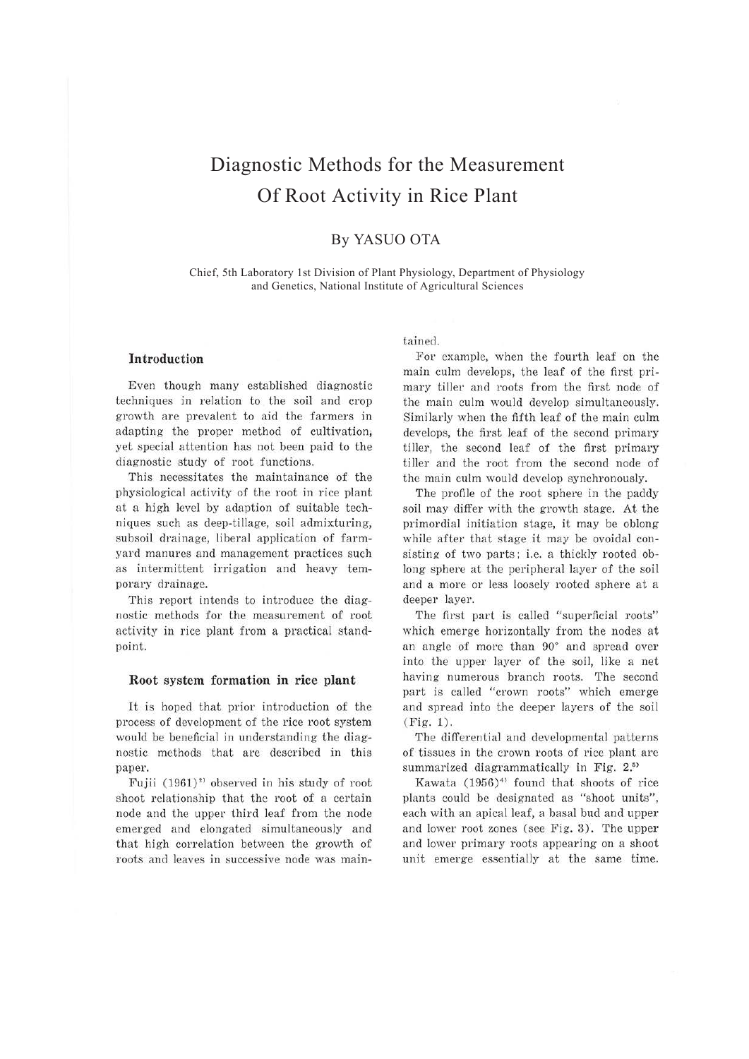# Diagnostic Methods for the Measurement Of Root Activity in Rice Plant

# By YASUO OTA

Chief, 5th Laboratory 1st Division of Plant Physiology, Department of Physiology and Genetics, National Institute of Agricultural Sciences

## **Introduction**

Even though many established diagnostic techniques in relation to the soil and crop growth are prevalent to aid the farmers in adapting the proper method of cultivation, yet special attention has not been paid to the diagnostic study of root functions.

This necessitates the maintainance of the physiological activity of the root in rice plant at a high level by adaption of suitable techniques such as deep-tillage, soil admixturing, subsoil drainage, liberal application of farmyard manures and management practices such as intermittent irrigation and heavy temporary drainage.

This report intends to introduce the diagnostic methods for the measurement of root activity in rice plant from a practical standpoint.

## **Root system formation in rice plant**

It is hoped that prior introduction of the process of development of the rice root system would be beneficial in understanding the diagnostic methods that are described in this paper.

Fujii (1961)<sup>2</sup> observed in his study of root shoot relationship that the root of a certain node and the upper third leaf from the node emerged and elongated simultaneously and that high correlation between the growth of roots and leaves in successive node was maintained.

For example, when the fourth leaf on the main culm develops, the leaf of the first primary tiller and roots from the first node of the main culm would develop simultaneously. Similarly when the fifth leaf of the main culm develops, the first leaf of the second primary tiller, the second leaf of the first primary tiller and the root from the second node of the main culm would develop synchronously.

The profile of the root sphere in the paddy soil may differ with the growth stage. At the primordial initiation stage, it may be oblong while after that stage it may be ovoidal consisting of two parts; i.e. a thickly rooted oblong sphere at the peripheral layer of the soil and a more or less loosely rooted sphere at a deeper layer.

The first part is called "superficial roots" which emerge horizontally from the nodes at an angle of more than 90° and spread over into the upper layer of the soil, like a net having numerous branch roots. The second part is called "crown roots" which emerge and spread into the deeper layers of the soil (Fig. 1).

The differential and developmental patterns of tissues in the crown roots of rice plant are summarized diagrammatically in Fig. 2.<sup>55</sup>

Kawata  $(1956)^4$  found that shoots of rice plants could be designated as "shoot units", each with an apical leaf, a basal bud and upper and lower root zones (see Fig. 3). The upper and lower primary roots appearing on a shoot unit emerge essentially at the same time.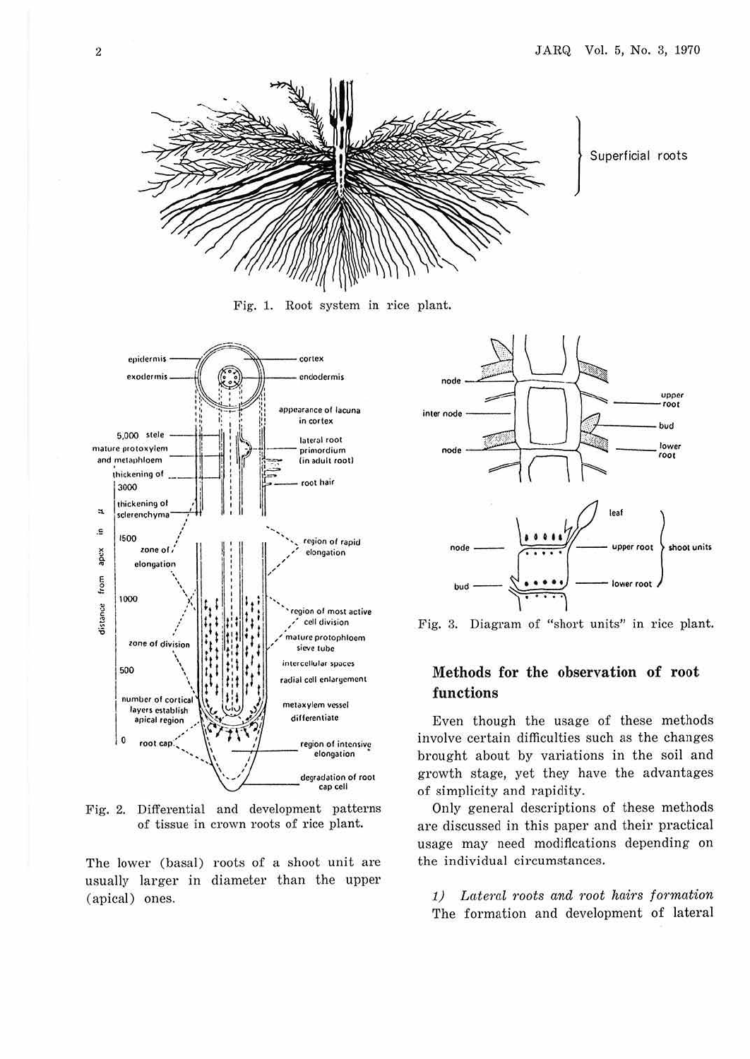

Fig. 1. Root system in rice plant.



Fig. 2. Differential and development patterns of tissue in crown roots of rice plant.

The lower (basal) roots of a shoot unit are usually larger in diameter than the upper (apical) ones.



Fig. 3. Diagram of "short units" in rice plant.

# Methods for the observation of root functions

Even though the usage of these methods involve certain difficulties such as the changes brought about by variations in the soil and growth stage, yet they have the advantages of simplicity and rapidity.

Only general descriptions of these methods are discussed in this paper and their practical usage may need modifications depending on the individual circumstances.

1) Lateral roots and root hairs formation The formation and development of lateral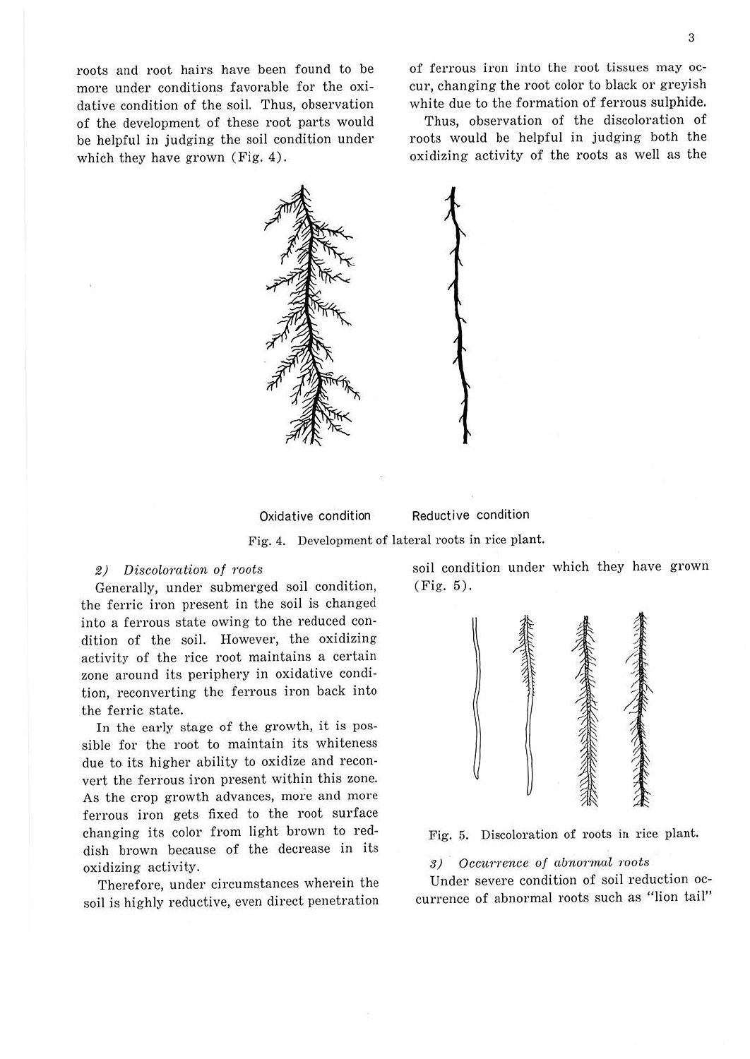3

roots and root hairs have been found to be more under conditions favorable for the oxidative condition of the soil. Thus, observation of the development of these root parts would be helpful in judging the soil condition under which they have grown (Fig. 4).

of ferrous iron into the root tissues may occur, changing the root color to black or greyish white due to the formation of ferrous sulphide.

Thus, observation of the discoloration of roots would be helpful in judging both the oxidizing activity of the roots as well as the



Oxidative condition

Reductive condition

Fig. 4. Development of lateral roots in rice plant.

#### *2) Discolorntion of roots*

Generally, under submerged soil condition, the ferric iron present in the soil is changed into a ferrous state owing to the reduced condition of the soil. However, the oxidizing activity of the rice root maintains a certain zone around its periphery in oxidative condition, reconverting the ferrous iron back into the ferric state.

In the early stage of the growth, it is possible for the root to maintain its whiteness due to its higher ability to oxidize and reconvert the ferrous iron present within this zone. As the crop growth advances, more and more ferrous iron gets fixed to the root surface changing its color from light brown to reddish brown because of the decrease in its oxidizing activity.

Therefore, under circumstances wherein the soil is highly reductive, even direct penetration soil condition under which they have grown (Fig. 5).



Fig. 5. Discoloration of roots in rice plant.

*8) Occurrence of abnormal roots* 

Under severe condition of soil reduction occurrence of abnormal roots such as "lion tail"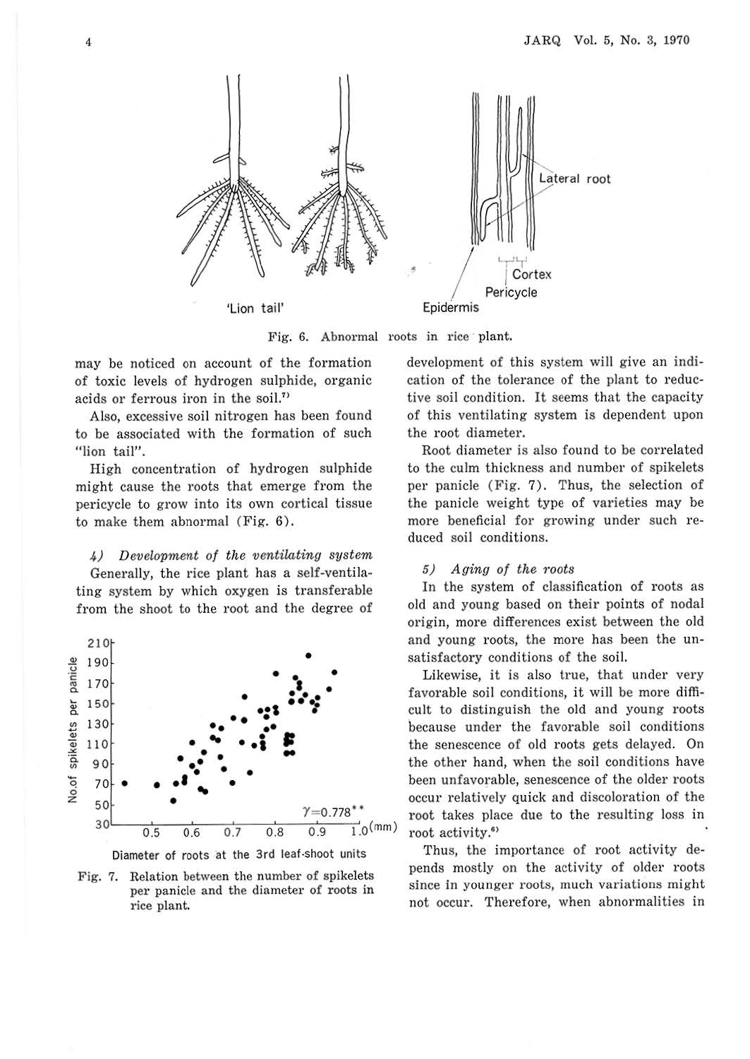

Fig. 6. Abnormal roots in rice plant.

may be noticed on account of the formation of toxic levels of hydrogen sulphide, organic acids or ferrous iron in the soil.<sup>71</sup>

Also, excessive soil nitrogen has been found to be associated with the formation of such "lion tail".

High concentration of hydrogen sulphide might cause the roots that emerge from the pericycle to grow into its own cortical tissue to make them abnormal (Fig. 6).

4) Development of the ventilating system Generally, the rice plant has a self-ventilating system by which oxygen is transferable from the shoot to the root and the degree of



Diameter of roots at the 3rd leaf ·Shoot units

Fig. 7. Relation between the number of spikelets per panicle and the diameter of roots in rice plant.

development of this system will give an indication of the tolerance of the plant to reductive soil condition. It seems that the capacity of this ventilating system is dependent upon the root diameter.

Root diameter is also found to be correlated to the culm thickness and number of spikelets per panicle (Fig. 7). Thus, the selection of the panicle weight type of varieties may be more beneficial for growing under such reduced soil conditions.

#### 5) Aging of the roots

In the system of classification of roots as old and young based on their points of nodal origin, more differences exist between the old and young roots, the more has been the unsatisfactory conditions of the soil.

Likewise, it is also true, that under very favorable soil conditions, it will be more difficult to distinguish the old and young roots because under the favorable soil conditions the senescence of old roots gets delayed. On the other hand, when the soil conditions have been unfavorable, senescence of the older roots occur relatively quick and discoloration of the root takes place due to the resulting loss in root activity.<sup>61</sup>

Thus, the importance of root activity depends mostly on the activity of older roots since in younger roots, much variations might not occur. Therefore, when abnormalities in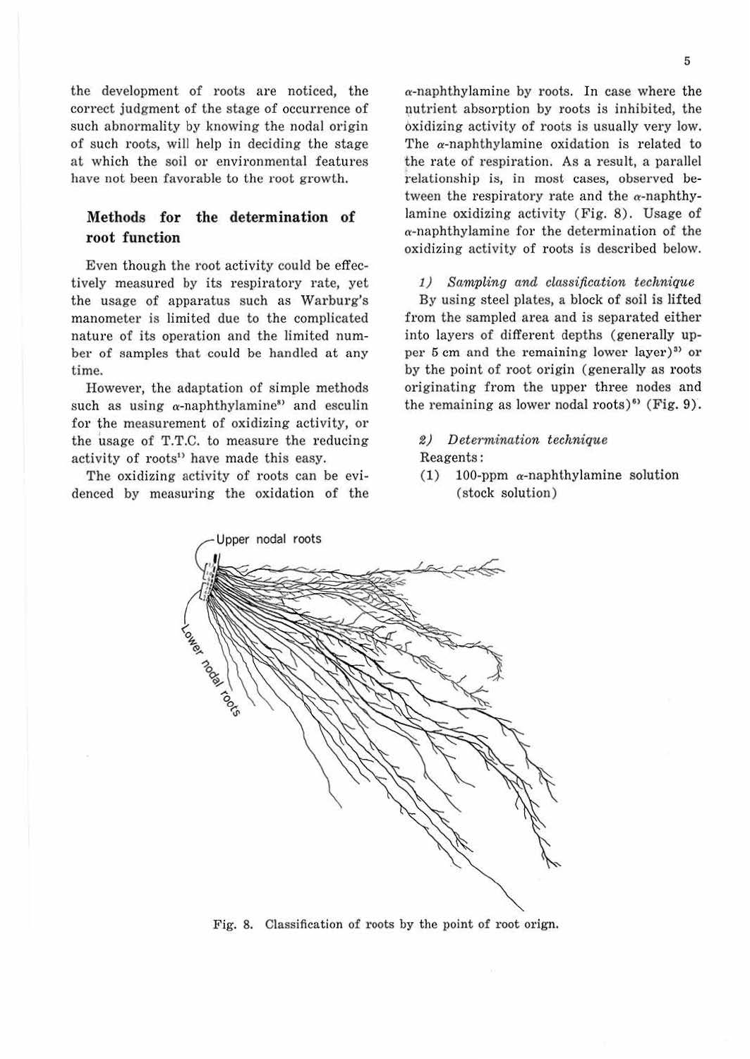the development of roots are noticed, the correct judgment of the stage of occurrence of such abnormality by knowing the nodal origin of such roots, will help in deciding the stage at which the soil or environmental features have not been favorable to the root growth.

## **Methods for the determination of root function**

Even though the root activity could be effectively measured by its respiratory rate, yet the usage of apparatus such as Warburg's manometer is limited due to the complicated nature of its operation and the limited number of samples that could be handled at any time.

However, the adaptation of simple methods such as using  $\alpha$ -naphthylamine<sup>8</sup> and esculin for the measurement of oxidizing activity, or the usage of T.T.C. to measure the reducing activity of roots<sup>1</sup> have made this easy.

The oxidizing activity of roots can be evidenced by measuring the oxidation of the  $\alpha$ -naphthylamine by roots. In case where the nutrient absorption by roots is inhibited, the oxidizing activity of roots is usually very low. The a-naphthylamine oxidation is related to the rate of respiration. As a result, a parallel relationship is, in most cases, observed between the respiratory rate and the  $\alpha$ -naphthylamine oxidizing activity (Fig. 8). Usage of  $\alpha$ -naphthylamine for the determination of the oxidizing activity of roots is described below.

#### 1) Sampling and classification technique

By using steel plates, a block of soil is lifted from the sampled area and is separated either into layers of different depths (generally upper 5 cm and the remaining lower layer)<sup>33</sup> or by the point of root origin (generally as roots originating from the upper three nodes and the remaining as lower nodal roots)<sup>63</sup> (Fig.  $9$ ).

*2) Determination technique* 

#### Reagents:

(1) 100-ppm  $\alpha$ -naphthylamine solution ( stock solution)



Fig. 8. Classification of roots by the point of root orign.